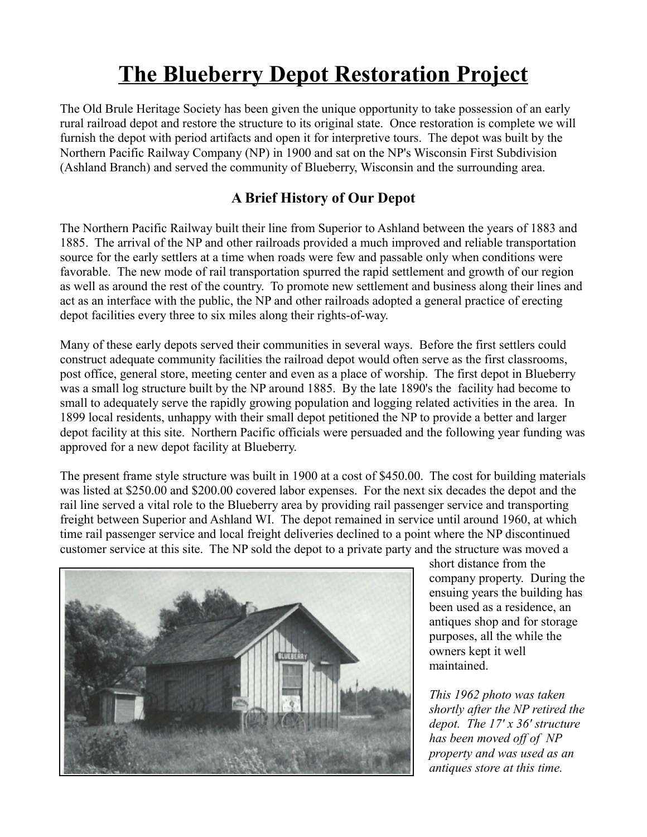## **The Blueberry Depot Restoration Project**

The Old Brule Heritage Society has been given the unique opportunity to take possession of an early rural railroad depot and restore the structure to its original state. Once restoration is complete we will furnish the depot with period artifacts and open it for interpretive tours. The depot was built by the Northern Pacific Railway Company (NP) in 1900 and sat on the NP's Wisconsin First Subdivision (Ashland Branch) and served the community of Blueberry, Wisconsin and the surrounding area.

## **A Brief History of Our Depot**

The Northern Pacific Railway built their line from Superior to Ashland between the years of 1883 and 1885. The arrival of the NP and other railroads provided a much improved and reliable transportation source for the early settlers at a time when roads were few and passable only when conditions were favorable. The new mode of rail transportation spurred the rapid settlement and growth of our region as well as around the rest of the country. To promote new settlement and business along their lines and act as an interface with the public, the NP and other railroads adopted a general practice of erecting depot facilities every three to six miles along their rights-of-way.

Many of these early depots served their communities in several ways. Before the first settlers could construct adequate community facilities the railroad depot would often serve as the first classrooms, post office, general store, meeting center and even as a place of worship. The first depot in Blueberry was a small log structure built by the NP around 1885. By the late 1890's the facility had become to small to adequately serve the rapidly growing population and logging related activities in the area. In 1899 local residents, unhappy with their small depot petitioned the NP to provide a better and larger depot facility at this site. Northern Pacific officials were persuaded and the following year funding was approved for a new depot facility at Blueberry.

The present frame style structure was built in 1900 at a cost of \$450.00. The cost for building materials was listed at \$250.00 and \$200.00 covered labor expenses. For the next six decades the depot and the rail line served a vital role to the Blueberry area by providing rail passenger service and transporting freight between Superior and Ashland WI. The depot remained in service until around 1960, at which time rail passenger service and local freight deliveries declined to a point where the NP discontinued customer service at this site. The NP sold the depot to a private party and the structure was moved a



short distance from the company property. During the ensuing years the building has been used as a residence, an antiques shop and for storage purposes, all the while the owners kept it well maintained.

*This 1962 photo was taken shortly after the NP retired the depot. The 17' x 36' structure has been moved off of NP property and was used as an antiques store at this time.*